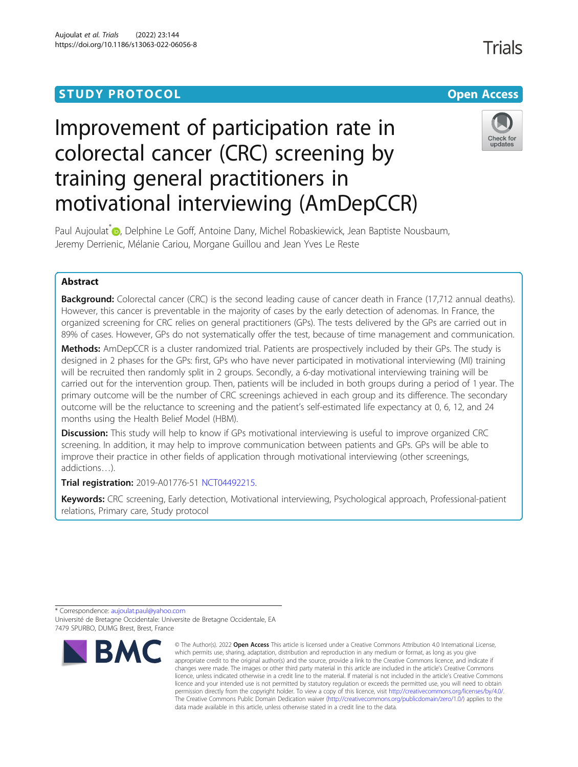# **STUDY PROTOCOL CONSUMING THE CONSUMING OPEN ACCESS**

# Improvement of participation rate in colorectal cancer (CRC) screening by training general practitioners in motivational interviewing (AmDepCCR)



**Trials** 

Paul Aujoulat<sup>\*</sup> [,](http://orcid.org/0000-0002-4760-224X) Delphine Le Goff, Antoine Dany, Michel Robaskiewick, Jean Baptiste Nousbaum, Jeremy Derrienic, Mélanie Cariou, Morgane Guillou and Jean Yves Le Reste

## Abstract

**Background:** Colorectal cancer (CRC) is the second leading cause of cancer death in France (17,712 annual deaths). However, this cancer is preventable in the majority of cases by the early detection of adenomas. In France, the organized screening for CRC relies on general practitioners (GPs). The tests delivered by the GPs are carried out in 89% of cases. However, GPs do not systematically offer the test, because of time management and communication.

Methods: AmDepCCR is a cluster randomized trial. Patients are prospectively included by their GPs. The study is designed in 2 phases for the GPs: first, GPs who have never participated in motivational interviewing (MI) training will be recruited then randomly split in 2 groups. Secondly, a 6-day motivational interviewing training will be carried out for the intervention group. Then, patients will be included in both groups during a period of 1 year. The primary outcome will be the number of CRC screenings achieved in each group and its difference. The secondary outcome will be the reluctance to screening and the patient's self-estimated life expectancy at 0, 6, 12, and 24 months using the Health Belief Model (HBM).

Discussion: This study will help to know if GPs motivational interviewing is useful to improve organized CRC screening. In addition, it may help to improve communication between patients and GPs. GPs will be able to improve their practice in other fields of application through motivational interviewing (other screenings, addictions…).

Trial registration: 2019-A01776-51 [NCT04492215.](https://clinicaltrials.gov/ct2/show/NCT04492215)

Keywords: CRC screening, Early detection, Motivational interviewing, Psychological approach, Professional-patient relations, Primary care, Study protocol

<sup>\*</sup> Correspondence: [aujoulat.paul@yahoo.com](mailto:aujoulat.paul@yahoo.com) Université de Bretagne Occidentale: Universite de Bretagne Occidentale, EA 7479 SPURBO, DUMG Brest, Brest, France



<sup>©</sup> The Author(s), 2022 **Open Access** This article is licensed under a Creative Commons Attribution 4.0 International License, which permits use, sharing, adaptation, distribution and reproduction in any medium or format, as long as you give appropriate credit to the original author(s) and the source, provide a link to the Creative Commons licence, and indicate if changes were made. The images or other third party material in this article are included in the article's Creative Commons licence, unless indicated otherwise in a credit line to the material. If material is not included in the article's Creative Commons licence and your intended use is not permitted by statutory regulation or exceeds the permitted use, you will need to obtain permission directly from the copyright holder. To view a copy of this licence, visit [http://creativecommons.org/licenses/by/4.0/.](http://creativecommons.org/licenses/by/4.0/) The Creative Commons Public Domain Dedication waiver [\(http://creativecommons.org/publicdomain/zero/1.0/](http://creativecommons.org/publicdomain/zero/1.0/)) applies to the data made available in this article, unless otherwise stated in a credit line to the data.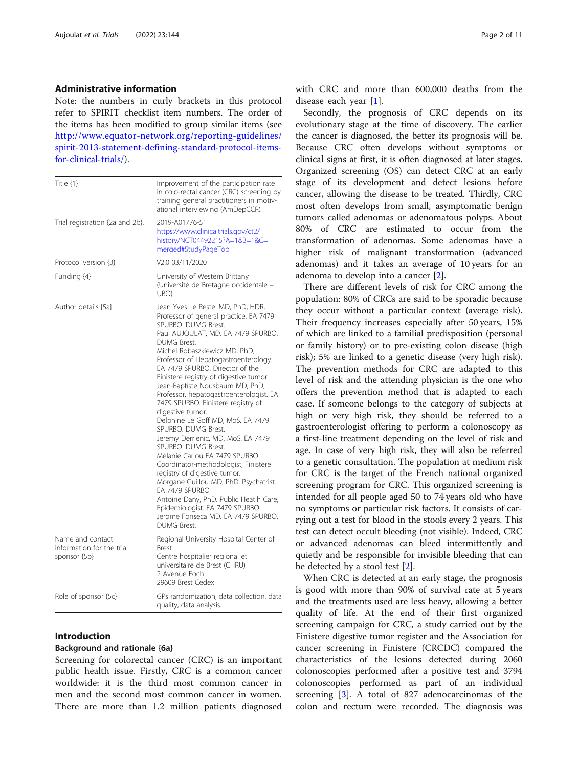## Administrative information

Note: the numbers in curly brackets in this protocol refer to SPIRIT checklist item numbers. The order of the items has been modified to group similar items (see [http://www.equator-network.org/reporting-guidelines/](http://www.equator-network.org/reporting-guidelines/spirit-2013-statement-defining-standard-protocol-items-for-clinical-trials/) [spirit-2013-statement-defining-standard-protocol-items](http://www.equator-network.org/reporting-guidelines/spirit-2013-statement-defining-standard-protocol-items-for-clinical-trials/)[for-clinical-trials/](http://www.equator-network.org/reporting-guidelines/spirit-2013-statement-defining-standard-protocol-items-for-clinical-trials/)).

| Title $\{1\}$                                                 | Improvement of the participation rate<br>in colo-rectal cancer (CRC) screening by<br>training general practitioners in motiv-<br>ational interviewing (AmDepCCR)                                                                                                                                                                                                                                                                                                                                                                                                                                                                                                                                                                                                                                                                                                                     |  |  |  |  |
|---------------------------------------------------------------|--------------------------------------------------------------------------------------------------------------------------------------------------------------------------------------------------------------------------------------------------------------------------------------------------------------------------------------------------------------------------------------------------------------------------------------------------------------------------------------------------------------------------------------------------------------------------------------------------------------------------------------------------------------------------------------------------------------------------------------------------------------------------------------------------------------------------------------------------------------------------------------|--|--|--|--|
| Trial registration {2a and 2b}.                               | 2019-A01776-51<br>https://www.clinicaltrials.gov/ct2/<br>history/NCT04492215?A=1&B=1&C=<br>merged#StudyPageTop                                                                                                                                                                                                                                                                                                                                                                                                                                                                                                                                                                                                                                                                                                                                                                       |  |  |  |  |
| Protocol version {3}                                          | V2.0 03/11/2020                                                                                                                                                                                                                                                                                                                                                                                                                                                                                                                                                                                                                                                                                                                                                                                                                                                                      |  |  |  |  |
| Funding {4}                                                   | University of Western Brittany<br>(Université de Bretagne occidentale -<br>UBO)                                                                                                                                                                                                                                                                                                                                                                                                                                                                                                                                                                                                                                                                                                                                                                                                      |  |  |  |  |
| Author details {5a}                                           | Jean Yves Le Reste. MD, PhD, HDR,<br>Professor of general practice. EA 7479<br>SPURBO. DUMG Brest.<br>Paul AUJOULAT, MD. EA 7479 SPURBO.<br>DUMG Brest.<br>Michel Robaszkiewicz MD, PhD,<br>Professor of Hepatogastroenterology.<br>EA 7479 SPURBO, Director of the<br>Finistere registry of digestive tumor.<br>Jean-Baptiste Nousbaum MD, PhD,<br>Professor, hepatogastroenterologist. EA<br>7479 SPURBO. Finistere registry of<br>digestive tumor.<br>Delphine Le Goff MD, MoS. EA 7479<br>SPURBO. DUMG Brest.<br>Jeremy Derrienic. MD. MoS. EA 7479<br>SPURBO. DUMG Brest.<br>Mélanie Cariou EA 7479 SPURBO.<br>Coordinator-methodologist, Finistere<br>registry of digestive tumor.<br>Morgane Guillou MD, PhD. Psychatrist.<br>EA 7479 SPURBO<br>Antoine Dany, PhD. Public Heatlh Care,<br>Epidemiologist. EA 7479 SPURBO<br>Jerome Fonseca MD, EA 7479 SPURBO.<br>DUMG Brest. |  |  |  |  |
| Name and contact<br>information for the trial<br>sponsor {5b} | Regional University Hospital Center of<br><b>Brest</b><br>Centre hospitalier regional et<br>universitaire de Brest (CHRU)<br>2 Avenue Foch<br>29609 Brest Cedex                                                                                                                                                                                                                                                                                                                                                                                                                                                                                                                                                                                                                                                                                                                      |  |  |  |  |
| Role of sponsor {5c}                                          | GPs randomization, data collection, data<br>quality, data analysis.                                                                                                                                                                                                                                                                                                                                                                                                                                                                                                                                                                                                                                                                                                                                                                                                                  |  |  |  |  |

## Introduction

## Background and rationale {6a}

Screening for colorectal cancer (CRC) is an important public health issue. Firstly, CRC is a common cancer worldwide: it is the third most common cancer in men and the second most common cancer in women. There are more than 1.2 million patients diagnosed with CRC and more than 600,000 deaths from the disease each year [[1\]](#page-10-0).

Secondly, the prognosis of CRC depends on its evolutionary stage at the time of discovery. The earlier the cancer is diagnosed, the better its prognosis will be. Because CRC often develops without symptoms or clinical signs at first, it is often diagnosed at later stages. Organized screening (OS) can detect CRC at an early stage of its development and detect lesions before cancer, allowing the disease to be treated. Thirdly, CRC most often develops from small, asymptomatic benign tumors called adenomas or adenomatous polyps. About 80% of CRC are estimated to occur from the transformation of adenomas. Some adenomas have a higher risk of malignant transformation (advanced adenomas) and it takes an average of 10 years for an adenoma to develop into a cancer [[2\]](#page-10-0).

There are different levels of risk for CRC among the population: 80% of CRCs are said to be sporadic because they occur without a particular context (average risk). Their frequency increases especially after 50 years, 15% of which are linked to a familial predisposition (personal or family history) or to pre-existing colon disease (high risk); 5% are linked to a genetic disease (very high risk). The prevention methods for CRC are adapted to this level of risk and the attending physician is the one who offers the prevention method that is adapted to each case. If someone belongs to the category of subjects at high or very high risk, they should be referred to a gastroenterologist offering to perform a colonoscopy as a first-line treatment depending on the level of risk and age. In case of very high risk, they will also be referred to a genetic consultation. The population at medium risk for CRC is the target of the French national organized screening program for CRC. This organized screening is intended for all people aged 50 to 74 years old who have no symptoms or particular risk factors. It consists of carrying out a test for blood in the stools every 2 years. This test can detect occult bleeding (not visible). Indeed, CRC or advanced adenomas can bleed intermittently and quietly and be responsible for invisible bleeding that can be detected by a stool test [[2](#page-10-0)].

When CRC is detected at an early stage, the prognosis is good with more than 90% of survival rate at 5 years and the treatments used are less heavy, allowing a better quality of life. At the end of their first organized screening campaign for CRC, a study carried out by the Finistere digestive tumor register and the Association for cancer screening in Finistere (CRCDC) compared the characteristics of the lesions detected during 2060 colonoscopies performed after a positive test and 3794 colonoscopies performed as part of an individual screening [[3\]](#page-10-0). A total of 827 adenocarcinomas of the colon and rectum were recorded. The diagnosis was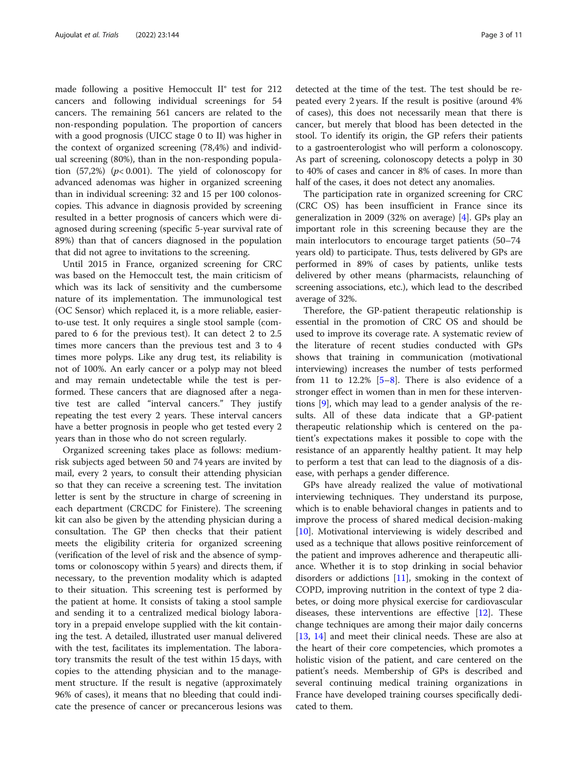made following a positive Hemoccult II® test for 212 cancers and following individual screenings for 54 cancers. The remaining 561 cancers are related to the non-responding population. The proportion of cancers with a good prognosis (UICC stage 0 to II) was higher in the context of organized screening (78,4%) and individual screening (80%), than in the non-responding population  $(57,2\%)$   $(p< 0.001)$ . The yield of colonoscopy for advanced adenomas was higher in organized screening than in individual screening: 32 and 15 per 100 colonoscopies. This advance in diagnosis provided by screening resulted in a better prognosis of cancers which were diagnosed during screening (specific 5-year survival rate of 89%) than that of cancers diagnosed in the population that did not agree to invitations to the screening.

Until 2015 in France, organized screening for CRC was based on the Hemoccult test, the main criticism of which was its lack of sensitivity and the cumbersome nature of its implementation. The immunological test (OC Sensor) which replaced it, is a more reliable, easierto-use test. It only requires a single stool sample (compared to 6 for the previous test). It can detect 2 to 2.5 times more cancers than the previous test and 3 to 4 times more polyps. Like any drug test, its reliability is not of 100%. An early cancer or a polyp may not bleed and may remain undetectable while the test is performed. These cancers that are diagnosed after a negative test are called "interval cancers." They justify repeating the test every 2 years. These interval cancers have a better prognosis in people who get tested every 2 years than in those who do not screen regularly.

Organized screening takes place as follows: mediumrisk subjects aged between 50 and 74 years are invited by mail, every 2 years, to consult their attending physician so that they can receive a screening test. The invitation letter is sent by the structure in charge of screening in each department (CRCDC for Finistere). The screening kit can also be given by the attending physician during a consultation. The GP then checks that their patient meets the eligibility criteria for organized screening (verification of the level of risk and the absence of symptoms or colonoscopy within 5 years) and directs them, if necessary, to the prevention modality which is adapted to their situation. This screening test is performed by the patient at home. It consists of taking a stool sample and sending it to a centralized medical biology laboratory in a prepaid envelope supplied with the kit containing the test. A detailed, illustrated user manual delivered with the test, facilitates its implementation. The laboratory transmits the result of the test within 15 days, with copies to the attending physician and to the management structure. If the result is negative (approximately 96% of cases), it means that no bleeding that could indicate the presence of cancer or precancerous lesions was

detected at the time of the test. The test should be repeated every 2 years. If the result is positive (around 4% of cases), this does not necessarily mean that there is cancer, but merely that blood has been detected in the stool. To identify its origin, the GP refers their patients to a gastroenterologist who will perform a colonoscopy. As part of screening, colonoscopy detects a polyp in 30 to 40% of cases and cancer in 8% of cases. In more than half of the cases, it does not detect any anomalies.

The participation rate in organized screening for CRC (CRC OS) has been insufficient in France since its generalization in 2009 (32% on average) [[4\]](#page-10-0). GPs play an important role in this screening because they are the main interlocutors to encourage target patients (50–74 years old) to participate. Thus, tests delivered by GPs are performed in 89% of cases by patients, unlike tests delivered by other means (pharmacists, relaunching of screening associations, etc.), which lead to the described average of 32%.

Therefore, the GP-patient therapeutic relationship is essential in the promotion of CRC OS and should be used to improve its coverage rate. A systematic review of the literature of recent studies conducted with GPs shows that training in communication (motivational interviewing) increases the number of tests performed from 11 to 12.2%  $[5-8]$  $[5-8]$  $[5-8]$ . There is also evidence of a stronger effect in women than in men for these interventions [\[9](#page-10-0)], which may lead to a gender analysis of the results. All of these data indicate that a GP-patient therapeutic relationship which is centered on the patient's expectations makes it possible to cope with the resistance of an apparently healthy patient. It may help to perform a test that can lead to the diagnosis of a disease, with perhaps a gender difference.

GPs have already realized the value of motivational interviewing techniques. They understand its purpose, which is to enable behavioral changes in patients and to improve the process of shared medical decision-making [[10\]](#page-10-0). Motivational interviewing is widely described and used as a technique that allows positive reinforcement of the patient and improves adherence and therapeutic alliance. Whether it is to stop drinking in social behavior disorders or addictions  $[11]$  $[11]$  $[11]$ , smoking in the context of COPD, improving nutrition in the context of type 2 diabetes, or doing more physical exercise for cardiovascular diseases, these interventions are effective [[12\]](#page-10-0). These change techniques are among their major daily concerns [[13,](#page-10-0) [14](#page-10-0)] and meet their clinical needs. These are also at the heart of their core competencies, which promotes a holistic vision of the patient, and care centered on the patient's needs. Membership of GPs is described and several continuing medical training organizations in France have developed training courses specifically dedicated to them.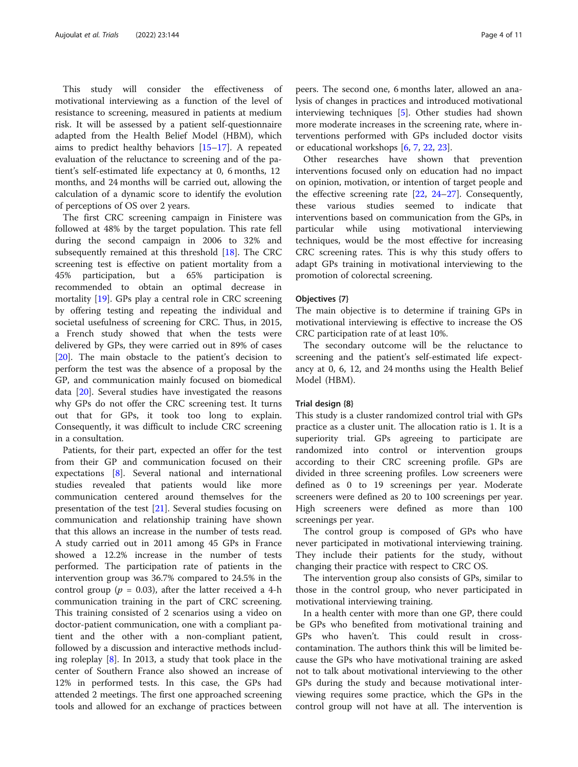This study will consider the effectiveness of motivational interviewing as a function of the level of resistance to screening, measured in patients at medium risk. It will be assessed by a patient self-questionnaire adapted from the Health Belief Model (HBM), which aims to predict healthy behaviors [\[15](#page-10-0)–[17\]](#page-10-0). A repeated evaluation of the reluctance to screening and of the patient's self-estimated life expectancy at 0, 6 months, 12 months, and 24 months will be carried out, allowing the calculation of a dynamic score to identify the evolution of perceptions of OS over 2 years.

The first CRC screening campaign in Finistere was followed at 48% by the target population. This rate fell during the second campaign in 2006 to 32% and subsequently remained at this threshold [[18\]](#page-10-0). The CRC screening test is effective on patient mortality from a 45% participation, but a 65% participation is recommended to obtain an optimal decrease in mortality [[19](#page-10-0)]. GPs play a central role in CRC screening by offering testing and repeating the individual and societal usefulness of screening for CRC. Thus, in 2015, a French study showed that when the tests were delivered by GPs, they were carried out in 89% of cases [[20\]](#page-10-0). The main obstacle to the patient's decision to perform the test was the absence of a proposal by the GP, and communication mainly focused on biomedical data [\[20](#page-10-0)]. Several studies have investigated the reasons why GPs do not offer the CRC screening test. It turns out that for GPs, it took too long to explain. Consequently, it was difficult to include CRC screening in a consultation.

Patients, for their part, expected an offer for the test from their GP and communication focused on their expectations [[8\]](#page-10-0). Several national and international studies revealed that patients would like more communication centered around themselves for the presentation of the test [[21\]](#page-10-0). Several studies focusing on communication and relationship training have shown that this allows an increase in the number of tests read. A study carried out in 2011 among 45 GPs in France showed a 12.2% increase in the number of tests performed. The participation rate of patients in the intervention group was 36.7% compared to 24.5% in the control group ( $p = 0.03$ ), after the latter received a 4-h communication training in the part of CRC screening. This training consisted of 2 scenarios using a video on doctor-patient communication, one with a compliant patient and the other with a non-compliant patient, followed by a discussion and interactive methods including roleplay [[8\]](#page-10-0). In 2013, a study that took place in the center of Southern France also showed an increase of 12% in performed tests. In this case, the GPs had attended 2 meetings. The first one approached screening tools and allowed for an exchange of practices between

peers. The second one, 6 months later, allowed an analysis of changes in practices and introduced motivational interviewing techniques [[5\]](#page-10-0). Other studies had shown more moderate increases in the screening rate, where interventions performed with GPs included doctor visits or educational workshops [\[6](#page-10-0), [7](#page-10-0), [22](#page-10-0), [23\]](#page-10-0).

Other researches have shown that prevention interventions focused only on education had no impact on opinion, motivation, or intention of target people and the effective screening rate [\[22,](#page-10-0) [24](#page-10-0)–[27](#page-10-0)]. Consequently, these various studies seemed to indicate that interventions based on communication from the GPs, in particular while using motivational interviewing techniques, would be the most effective for increasing CRC screening rates. This is why this study offers to adapt GPs training in motivational interviewing to the promotion of colorectal screening.

## Objectives {7}

The main objective is to determine if training GPs in motivational interviewing is effective to increase the OS CRC participation rate of at least 10%.

The secondary outcome will be the reluctance to screening and the patient's self-estimated life expectancy at 0, 6, 12, and 24 months using the Health Belief Model (HBM).

## Trial design {8}

This study is a cluster randomized control trial with GPs practice as a cluster unit. The allocation ratio is 1. It is a superiority trial. GPs agreeing to participate are randomized into control or intervention groups according to their CRC screening profile. GPs are divided in three screening profiles. Low screeners were defined as 0 to 19 screenings per year. Moderate screeners were defined as 20 to 100 screenings per year. High screeners were defined as more than 100 screenings per year.

The control group is composed of GPs who have never participated in motivational interviewing training. They include their patients for the study, without changing their practice with respect to CRC OS.

The intervention group also consists of GPs, similar to those in the control group, who never participated in motivational interviewing training.

In a health center with more than one GP, there could be GPs who benefited from motivational training and GPs who haven't. This could result in crosscontamination. The authors think this will be limited because the GPs who have motivational training are asked not to talk about motivational interviewing to the other GPs during the study and because motivational interviewing requires some practice, which the GPs in the control group will not have at all. The intervention is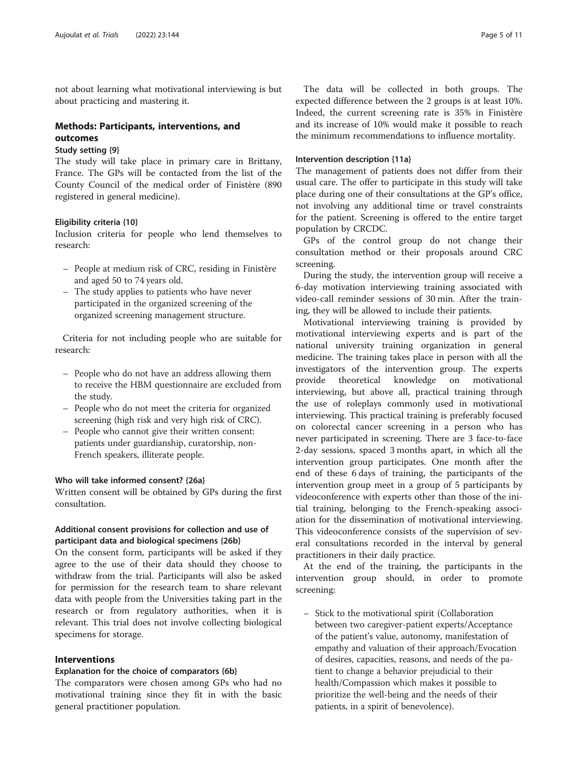not about learning what motivational interviewing is but about practicing and mastering it.

## Methods: Participants, interventions, and outcomes

## Study setting {9}

The study will take place in primary care in Brittany, France. The GPs will be contacted from the list of the County Council of the medical order of Finistère (890 registered in general medicine).

#### Eligibility criteria {10}

Inclusion criteria for people who lend themselves to research:

- People at medium risk of CRC, residing in Finistère and aged 50 to 74 years old.
- The study applies to patients who have never participated in the organized screening of the organized screening management structure.

Criteria for not including people who are suitable for research:

- People who do not have an address allowing them to receive the HBM questionnaire are excluded from the study.
- People who do not meet the criteria for organized screening (high risk and very high risk of CRC).
- People who cannot give their written consent: patients under guardianship, curatorship, non-French speakers, illiterate people.

## Who will take informed consent? {26a}

Written consent will be obtained by GPs during the first consultation.

## Additional consent provisions for collection and use of participant data and biological specimens {26b}

On the consent form, participants will be asked if they agree to the use of their data should they choose to withdraw from the trial. Participants will also be asked for permission for the research team to share relevant data with people from the Universities taking part in the research or from regulatory authorities, when it is relevant. This trial does not involve collecting biological specimens for storage.

## Interventions

## Explanation for the choice of comparators {6b}

The comparators were chosen among GPs who had no motivational training since they fit in with the basic general practitioner population.

The data will be collected in both groups. The expected difference between the 2 groups is at least 10%. Indeed, the current screening rate is 35% in Finistère and its increase of 10% would make it possible to reach the minimum recommendations to influence mortality.

## Intervention description {11a}

The management of patients does not differ from their usual care. The offer to participate in this study will take place during one of their consultations at the GP's office, not involving any additional time or travel constraints for the patient. Screening is offered to the entire target population by CRCDC.

GPs of the control group do not change their consultation method or their proposals around CRC screening.

During the study, the intervention group will receive a 6-day motivation interviewing training associated with video-call reminder sessions of 30 min. After the training, they will be allowed to include their patients.

Motivational interviewing training is provided by motivational interviewing experts and is part of the national university training organization in general medicine. The training takes place in person with all the investigators of the intervention group. The experts provide theoretical knowledge on motivational interviewing, but above all, practical training through the use of roleplays commonly used in motivational interviewing. This practical training is preferably focused on colorectal cancer screening in a person who has never participated in screening. There are 3 face-to-face 2-day sessions, spaced 3 months apart, in which all the intervention group participates. One month after the end of these 6 days of training, the participants of the intervention group meet in a group of 5 participants by videoconference with experts other than those of the initial training, belonging to the French-speaking association for the dissemination of motivational interviewing. This videoconference consists of the supervision of several consultations recorded in the interval by general practitioners in their daily practice.

At the end of the training, the participants in the intervention group should, in order to promote screening:

– Stick to the motivational spirit (Collaboration between two caregiver-patient experts/Acceptance of the patient's value, autonomy, manifestation of empathy and valuation of their approach/Evocation of desires, capacities, reasons, and needs of the patient to change a behavior prejudicial to their health/Compassion which makes it possible to prioritize the well-being and the needs of their patients, in a spirit of benevolence).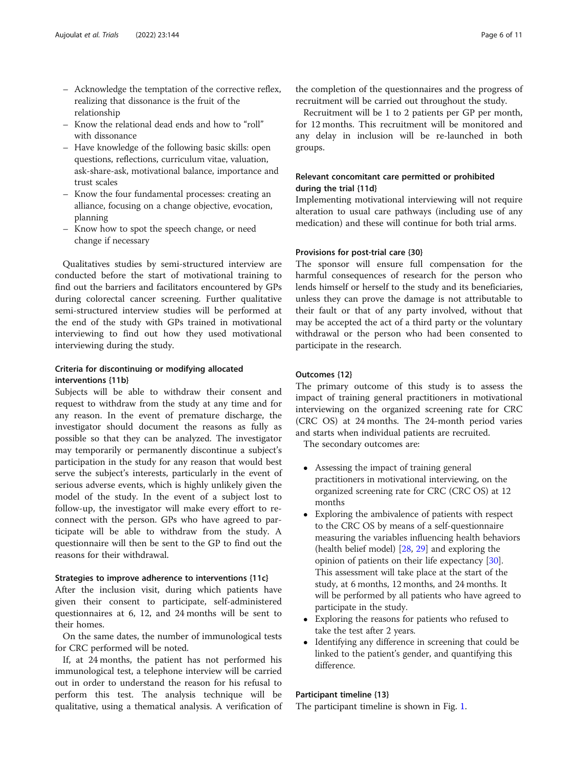- Acknowledge the temptation of the corrective reflex, realizing that dissonance is the fruit of the relationship
- Know the relational dead ends and how to "roll" with dissonance
- Have knowledge of the following basic skills: open questions, reflections, curriculum vitae, valuation, ask-share-ask, motivational balance, importance and trust scales
- Know the four fundamental processes: creating an alliance, focusing on a change objective, evocation, planning
- Know how to spot the speech change, or need change if necessary

Qualitatives studies by semi-structured interview are conducted before the start of motivational training to find out the barriers and facilitators encountered by GPs during colorectal cancer screening. Further qualitative semi-structured interview studies will be performed at the end of the study with GPs trained in motivational interviewing to find out how they used motivational interviewing during the study.

## Criteria for discontinuing or modifying allocated interventions {11b}

Subjects will be able to withdraw their consent and request to withdraw from the study at any time and for any reason. In the event of premature discharge, the investigator should document the reasons as fully as possible so that they can be analyzed. The investigator may temporarily or permanently discontinue a subject's participation in the study for any reason that would best serve the subject's interests, particularly in the event of serious adverse events, which is highly unlikely given the model of the study. In the event of a subject lost to follow-up, the investigator will make every effort to reconnect with the person. GPs who have agreed to participate will be able to withdraw from the study. A questionnaire will then be sent to the GP to find out the reasons for their withdrawal.

## Strategies to improve adherence to interventions {11c}

After the inclusion visit, during which patients have given their consent to participate, self-administered questionnaires at 6, 12, and 24 months will be sent to their homes.

On the same dates, the number of immunological tests for CRC performed will be noted.

If, at 24 months, the patient has not performed his immunological test, a telephone interview will be carried out in order to understand the reason for his refusal to perform this test. The analysis technique will be qualitative, using a thematical analysis. A verification of

the completion of the questionnaires and the progress of recruitment will be carried out throughout the study.

Recruitment will be 1 to 2 patients per GP per month, for 12 months. This recruitment will be monitored and any delay in inclusion will be re-launched in both groups.

## Relevant concomitant care permitted or prohibited during the trial {11d}

Implementing motivational interviewing will not require alteration to usual care pathways (including use of any medication) and these will continue for both trial arms.

## Provisions for post-trial care {30}

The sponsor will ensure full compensation for the harmful consequences of research for the person who lends himself or herself to the study and its beneficiaries, unless they can prove the damage is not attributable to their fault or that of any party involved, without that may be accepted the act of a third party or the voluntary withdrawal or the person who had been consented to participate in the research.

## Outcomes {12}

The primary outcome of this study is to assess the impact of training general practitioners in motivational interviewing on the organized screening rate for CRC (CRC OS) at 24 months. The 24-month period varies and starts when individual patients are recruited.

The secondary outcomes are:

- Assessing the impact of training general practitioners in motivational interviewing, on the organized screening rate for CRC (CRC OS) at 12 months
- Exploring the ambivalence of patients with respect to the CRC OS by means of a self-questionnaire measuring the variables influencing health behaviors (health belief model) [\[28,](#page-10-0) [29](#page-10-0)] and exploring the opinion of patients on their life expectancy [[30\]](#page-10-0). This assessment will take place at the start of the study, at 6 months, 12 months, and 24 months. It will be performed by all patients who have agreed to participate in the study.
- Exploring the reasons for patients who refused to take the test after 2 years.
- Identifying any difference in screening that could be linked to the patient's gender, and quantifying this difference.

## Participant timeline {13}

The participant timeline is shown in Fig. [1](#page-6-0).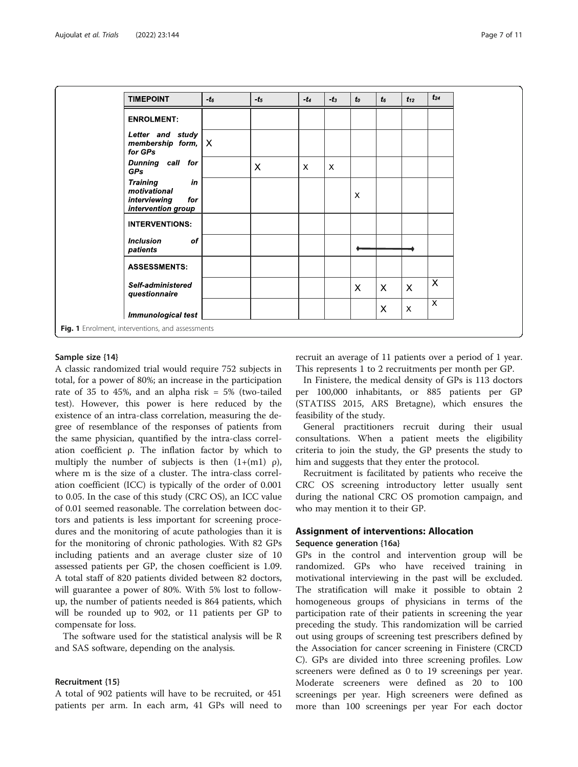<span id="page-6-0"></span>

| <b>TIMEPOINT</b>                                                                   | $-t_6$       | $-t_5$ | $-t_4$       | $-t_3$ | $\mathfrak{t}_0$ | $\mathfrak{t}_{6}$ | $t_{12}$                  | $t_{24}$                  |
|------------------------------------------------------------------------------------|--------------|--------|--------------|--------|------------------|--------------------|---------------------------|---------------------------|
|                                                                                    |              |        |              |        |                  |                    |                           |                           |
| <b>ENROLMENT:</b>                                                                  |              |        |              |        |                  |                    |                           |                           |
| Letter and study<br>membership form,<br>for GPs                                    | $\mathsf{X}$ |        |              |        |                  |                    |                           |                           |
| Dunning call for<br><b>GPs</b>                                                     |              | X      | $\mathsf{X}$ | X      |                  |                    |                           |                           |
| <b>Training</b><br>in<br>motivational<br>interviewing<br>for<br>intervention group |              |        |              |        | X                |                    |                           |                           |
| <b>INTERVENTIONS:</b>                                                              |              |        |              |        |                  |                    |                           |                           |
| of<br><b>Inclusion</b><br>patients                                                 |              |        |              |        |                  |                    |                           |                           |
| <b>ASSESSMENTS:</b>                                                                |              |        |              |        |                  |                    |                           |                           |
| Self-administered<br>questionnaire                                                 |              |        |              |        | X                | X                  | $\boldsymbol{\mathsf{X}}$ | $\boldsymbol{\mathsf{X}}$ |
| Immunological test                                                                 |              |        |              |        |                  | X                  | $\boldsymbol{\mathsf{X}}$ | $\times$                  |
| Fig. 1 Enrolment, interventions, and assessments                                   |              |        |              |        |                  |                    |                           |                           |

#### Sample size {14}

A classic randomized trial would require 752 subjects in total, for a power of 80%; an increase in the participation rate of 35 to 45%, and an alpha risk =  $5\%$  (two-tailed test). However, this power is here reduced by the existence of an intra-class correlation, measuring the degree of resemblance of the responses of patients from the same physician, quantified by the intra-class correlation coefficient ρ. The inflation factor by which to multiply the number of subjects is then  $(1+(m1) \rho)$ , where m is the size of a cluster. The intra-class correlation coefficient (ICC) is typically of the order of 0.001 to 0.05. In the case of this study (CRC OS), an ICC value of 0.01 seemed reasonable. The correlation between doctors and patients is less important for screening procedures and the monitoring of acute pathologies than it is for the monitoring of chronic pathologies. With 82 GPs including patients and an average cluster size of 10 assessed patients per GP, the chosen coefficient is 1.09. A total staff of 820 patients divided between 82 doctors, will guarantee a power of 80%. With 5% lost to followup, the number of patients needed is 864 patients, which will be rounded up to 902, or 11 patients per GP to compensate for loss.

The software used for the statistical analysis will be R and SAS software, depending on the analysis.

## Recruitment {15}

A total of 902 patients will have to be recruited, or 451 patients per arm. In each arm, 41 GPs will need to recruit an average of 11 patients over a period of 1 year. This represents 1 to 2 recruitments per month per GP.

In Finistere, the medical density of GPs is 113 doctors per 100,000 inhabitants, or 885 patients per GP (STATISS 2015, ARS Bretagne), which ensures the feasibility of the study.

General practitioners recruit during their usual consultations. When a patient meets the eligibility criteria to join the study, the GP presents the study to him and suggests that they enter the protocol.

Recruitment is facilitated by patients who receive the CRC OS screening introductory letter usually sent during the national CRC OS promotion campaign, and who may mention it to their GP.

# Assignment of interventions: Allocation

## Sequence generation {16a}

GPs in the control and intervention group will be randomized. GPs who have received training in motivational interviewing in the past will be excluded. The stratification will make it possible to obtain 2 homogeneous groups of physicians in terms of the participation rate of their patients in screening the year preceding the study. This randomization will be carried out using groups of screening test prescribers defined by the Association for cancer screening in Finistere (CRCD C). GPs are divided into three screening profiles. Low screeners were defined as 0 to 19 screenings per year. Moderate screeners were defined as 20 to 100 screenings per year. High screeners were defined as more than 100 screenings per year For each doctor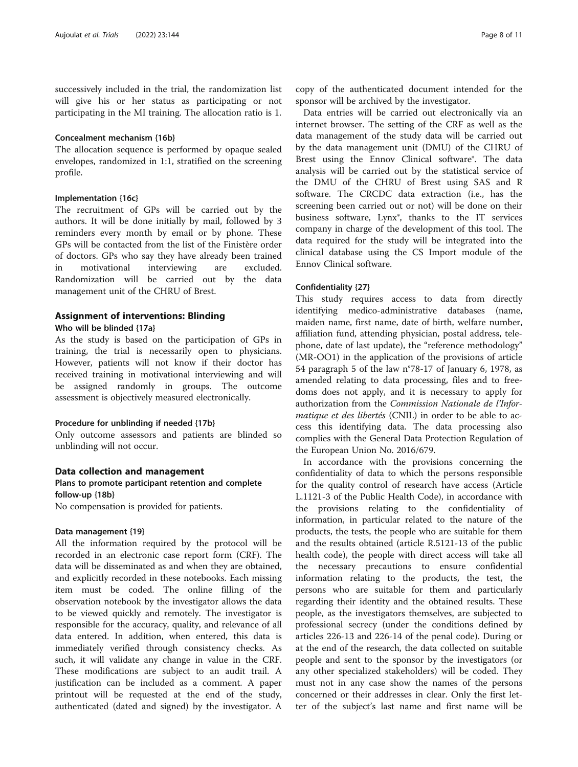successively included in the trial, the randomization list will give his or her status as participating or not participating in the MI training. The allocation ratio is 1.

#### Concealment mechanism {16b}

The allocation sequence is performed by opaque sealed envelopes, randomized in 1:1, stratified on the screening profile.

#### Implementation {16c}

The recruitment of GPs will be carried out by the authors. It will be done initially by mail, followed by 3 reminders every month by email or by phone. These GPs will be contacted from the list of the Finistère order of doctors. GPs who say they have already been trained in motivational interviewing are excluded. Randomization will be carried out by the data management unit of the CHRU of Brest.

## Assignment of interventions: Blinding

## Who will be blinded {17a}

As the study is based on the participation of GPs in training, the trial is necessarily open to physicians. However, patients will not know if their doctor has received training in motivational interviewing and will be assigned randomly in groups. The outcome assessment is objectively measured electronically.

## Procedure for unblinding if needed {17b}

Only outcome assessors and patients are blinded so unblinding will not occur.

## Data collection and management

## Plans to promote participant retention and complete follow-up {18b}

No compensation is provided for patients.

#### Data management {19}

All the information required by the protocol will be recorded in an electronic case report form (CRF). The data will be disseminated as and when they are obtained, and explicitly recorded in these notebooks. Each missing item must be coded. The online filling of the observation notebook by the investigator allows the data to be viewed quickly and remotely. The investigator is responsible for the accuracy, quality, and relevance of all data entered. In addition, when entered, this data is immediately verified through consistency checks. As such, it will validate any change in value in the CRF. These modifications are subject to an audit trail. A justification can be included as a comment. A paper printout will be requested at the end of the study, authenticated (dated and signed) by the investigator. A copy of the authenticated document intended for the sponsor will be archived by the investigator.

Data entries will be carried out electronically via an internet browser. The setting of the CRF as well as the data management of the study data will be carried out by the data management unit (DMU) of the CHRU of Brest using the Ennov Clinical software<sup>®</sup>. The data analysis will be carried out by the statistical service of the DMU of the CHRU of Brest using SAS and R software. The CRCDC data extraction (i.e., has the screening been carried out or not) will be done on their business software, Lynx®, thanks to the IT services company in charge of the development of this tool. The data required for the study will be integrated into the clinical database using the CS Import module of the Ennov Clinical software.

## Confidentiality {27}

This study requires access to data from directly identifying medico-administrative databases (name, maiden name, first name, date of birth, welfare number, affiliation fund, attending physician, postal address, telephone, date of last update), the "reference methodology" (MR-OO1) in the application of the provisions of article 54 paragraph 5 of the law n°78-17 of January 6, 1978, as amended relating to data processing, files and to freedoms does not apply, and it is necessary to apply for authorization from the Commission Nationale de l'Informatique et des libertés (CNIL) in order to be able to access this identifying data. The data processing also complies with the General Data Protection Regulation of the European Union No. 2016/679.

In accordance with the provisions concerning the confidentiality of data to which the persons responsible for the quality control of research have access (Article L.1121-3 of the Public Health Code), in accordance with the provisions relating to the confidentiality of information, in particular related to the nature of the products, the tests, the people who are suitable for them and the results obtained (article R.5121-13 of the public health code), the people with direct access will take all the necessary precautions to ensure confidential information relating to the products, the test, the persons who are suitable for them and particularly regarding their identity and the obtained results. These people, as the investigators themselves, are subjected to professional secrecy (under the conditions defined by articles 226-13 and 226-14 of the penal code). During or at the end of the research, the data collected on suitable people and sent to the sponsor by the investigators (or any other specialized stakeholders) will be coded. They must not in any case show the names of the persons concerned or their addresses in clear. Only the first letter of the subject's last name and first name will be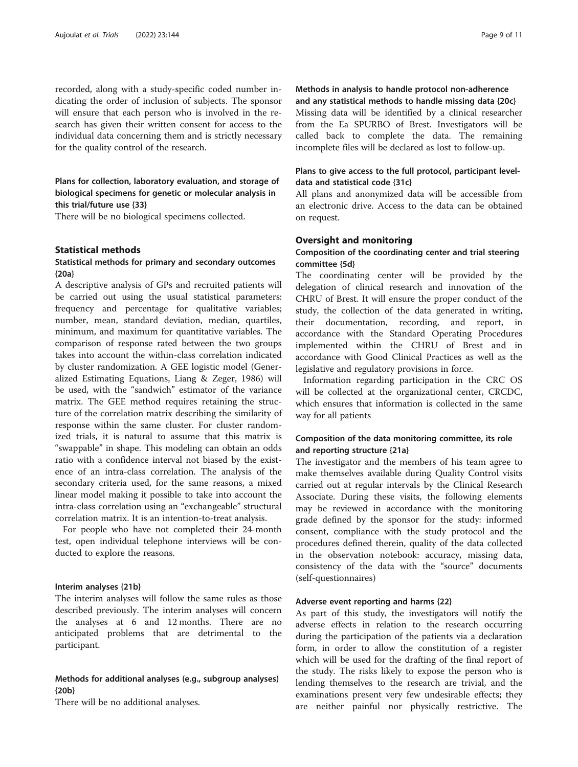recorded, along with a study-specific coded number indicating the order of inclusion of subjects. The sponsor will ensure that each person who is involved in the research has given their written consent for access to the individual data concerning them and is strictly necessary for the quality control of the research.

## Plans for collection, laboratory evaluation, and storage of biological specimens for genetic or molecular analysis in this trial/future use {33}

There will be no biological specimens collected.

## Statistical methods

## Statistical methods for primary and secondary outcomes {20a}

A descriptive analysis of GPs and recruited patients will be carried out using the usual statistical parameters: frequency and percentage for qualitative variables; number, mean, standard deviation, median, quartiles, minimum, and maximum for quantitative variables. The comparison of response rated between the two groups takes into account the within-class correlation indicated by cluster randomization. A GEE logistic model (Generalized Estimating Equations, Liang & Zeger, 1986) will be used, with the "sandwich" estimator of the variance matrix. The GEE method requires retaining the structure of the correlation matrix describing the similarity of response within the same cluster. For cluster randomized trials, it is natural to assume that this matrix is "swappable" in shape. This modeling can obtain an odds ratio with a confidence interval not biased by the existence of an intra-class correlation. The analysis of the secondary criteria used, for the same reasons, a mixed linear model making it possible to take into account the intra-class correlation using an "exchangeable" structural correlation matrix. It is an intention-to-treat analysis.

For people who have not completed their 24-month test, open individual telephone interviews will be conducted to explore the reasons.

## Interim analyses {21b}

The interim analyses will follow the same rules as those described previously. The interim analyses will concern the analyses at 6 and 12 months. There are no anticipated problems that are detrimental to the participant.

## Methods for additional analyses (e.g., subgroup analyses) {20b}

There will be no additional analyses.

# Methods in analysis to handle protocol non-adherence and any statistical methods to handle missing data {20c} Missing data will be identified by a clinical researcher

from the Ea SPURBO of Brest. Investigators will be called back to complete the data. The remaining incomplete files will be declared as lost to follow-up.

## Plans to give access to the full protocol, participant leveldata and statistical code {31c}

All plans and anonymized data will be accessible from an electronic drive. Access to the data can be obtained on request.

## Oversight and monitoring

## Composition of the coordinating center and trial steering committee {5d}

The coordinating center will be provided by the delegation of clinical research and innovation of the CHRU of Brest. It will ensure the proper conduct of the study, the collection of the data generated in writing, their documentation, recording, and report, in accordance with the Standard Operating Procedures implemented within the CHRU of Brest and in accordance with Good Clinical Practices as well as the legislative and regulatory provisions in force.

Information regarding participation in the CRC OS will be collected at the organizational center, CRCDC, which ensures that information is collected in the same way for all patients

## Composition of the data monitoring committee, its role and reporting structure {21a}

The investigator and the members of his team agree to make themselves available during Quality Control visits carried out at regular intervals by the Clinical Research Associate. During these visits, the following elements may be reviewed in accordance with the monitoring grade defined by the sponsor for the study: informed consent, compliance with the study protocol and the procedures defined therein, quality of the data collected in the observation notebook: accuracy, missing data, consistency of the data with the "source" documents (self-questionnaires)

#### Adverse event reporting and harms {22}

As part of this study, the investigators will notify the adverse effects in relation to the research occurring during the participation of the patients via a declaration form, in order to allow the constitution of a register which will be used for the drafting of the final report of the study. The risks likely to expose the person who is lending themselves to the research are trivial, and the examinations present very few undesirable effects; they are neither painful nor physically restrictive. The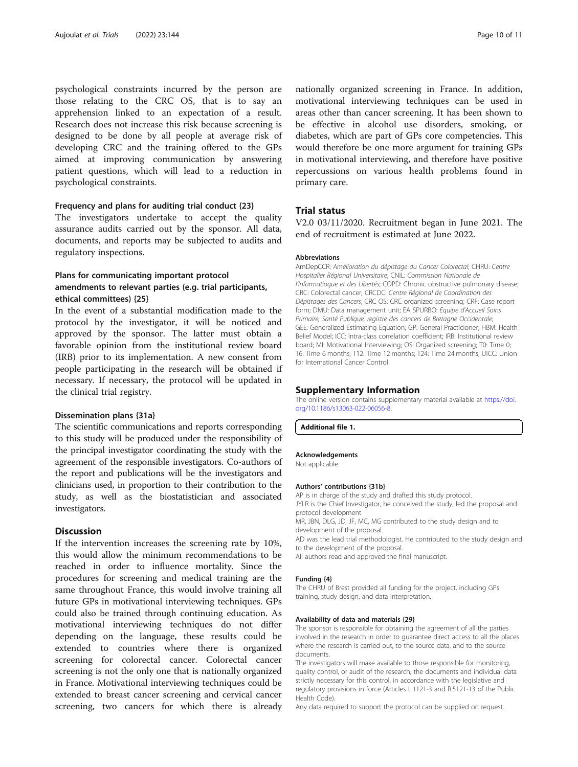psychological constraints incurred by the person are those relating to the CRC OS, that is to say an apprehension linked to an expectation of a result. Research does not increase this risk because screening is designed to be done by all people at average risk of developing CRC and the training offered to the GPs aimed at improving communication by answering patient questions, which will lead to a reduction in psychological constraints.

## Frequency and plans for auditing trial conduct {23}

The investigators undertake to accept the quality assurance audits carried out by the sponsor. All data, documents, and reports may be subjected to audits and regulatory inspections.

## Plans for communicating important protocol amendments to relevant parties (e.g. trial participants, ethical committees) {25}

In the event of a substantial modification made to the protocol by the investigator, it will be noticed and approved by the sponsor. The latter must obtain a favorable opinion from the institutional review board (IRB) prior to its implementation. A new consent from people participating in the research will be obtained if necessary. If necessary, the protocol will be updated in the clinical trial registry.

#### Dissemination plans {31a}

The scientific communications and reports corresponding to this study will be produced under the responsibility of the principal investigator coordinating the study with the agreement of the responsible investigators. Co-authors of the report and publications will be the investigators and clinicians used, in proportion to their contribution to the study, as well as the biostatistician and associated investigators.

#### **Discussion**

If the intervention increases the screening rate by 10%, this would allow the minimum recommendations to be reached in order to influence mortality. Since the procedures for screening and medical training are the same throughout France, this would involve training all future GPs in motivational interviewing techniques. GPs could also be trained through continuing education. As motivational interviewing techniques do not differ depending on the language, these results could be extended to countries where there is organized screening for colorectal cancer. Colorectal cancer screening is not the only one that is nationally organized in France. Motivational interviewing techniques could be extended to breast cancer screening and cervical cancer screening, two cancers for which there is already nationally organized screening in France. In addition, motivational interviewing techniques can be used in areas other than cancer screening. It has been shown to be effective in alcohol use disorders, smoking, or diabetes, which are part of GPs core competencies. This would therefore be one more argument for training GPs in motivational interviewing, and therefore have positive repercussions on various health problems found in primary care.

## Trial status

V2.0 03/11/2020. Recruitment began in June 2021. The end of recruitment is estimated at June 2022.

## Abbreviations

AmDepCCR: Amélioration du dépistage du Cancer Colorectal; CHRU: Centre Hospitalier Régional Universitaire; CNIL: Commission Nationale de l'Informatioque et des Libertés; COPD: Chronic obstructive pulmonary disease; CRC: Colorectal cancer; CRCDC: Centre Régional de Coordination des Dépistages des Cancers; CRC OS: CRC organized screening; CRF: Case report form; DMU: Data management unit; EA SPURBO: Equipe d'Accueil Soins Primaire, Santé Publique, registre des cancers de Bretagne Occidentale; GEE: Generalized Estimating Equation; GP: General Practicioner; HBM: Health Belief Model; ICC: Intra-class correlation coefficient; IRB: Institutional review board; MI: Motivational Interviewing; OS: Organized screening; T0: Time 0; T6: Time 6 months; T12: Time 12 months; T24: Time 24 months; UICC: Union for International Cancer Control

#### Supplementary Information

The online version contains supplementary material available at [https://doi.](https://doi.org/10.1186/s13063-022-06056-8) [org/10.1186/s13063-022-06056-8.](https://doi.org/10.1186/s13063-022-06056-8)

Additional file 1.

#### Acknowledgements

Not applicable.

#### Authors' contributions {31b}

AP is in charge of the study and drafted this study protocol. JYLR is the Chief Investigator, he conceived the study, led the proposal and protocol development MR, JBN, DLG, JD, JF, MC, MG contributed to the study design and to

development of the proposal.

AD was the lead trial methodologist. He contributed to the study design and to the development of the proposal.

All authors read and approved the final manuscript.

#### Funding {4}

The CHRU of Brest provided all funding for the project, including GPs training, study design, and data interpretation.

#### Availability of data and materials {29}

The sponsor is responsible for obtaining the agreement of all the parties involved in the research in order to guarantee direct access to all the places where the research is carried out, to the source data, and to the source documents.

The investigators will make available to those responsible for monitoring, quality control, or audit of the research, the documents and individual data strictly necessary for this control, in accordance with the legislative and regulatory provisions in force (Articles L.1121-3 and R.5121-13 of the Public Health Code).

Any data required to support the protocol can be supplied on request.